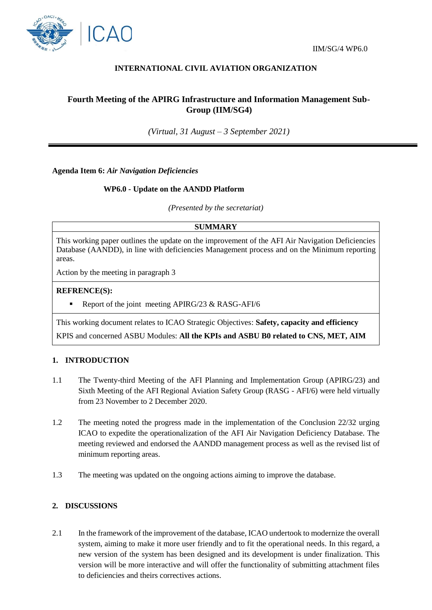

# **INTERNATIONAL CIVIL AVIATION ORGANIZATION**

# **Fourth Meeting of the APIRG Infrastructure and Information Management Sub-Group (IIM/SG4)**

*(Virtual, 31 August – 3 September 2021)*

**Agenda Item 6:** *Air Navigation Deficiencies*

### **WP6.0 - Update on the AANDD Platform**

*(Presented by the secretariat)*

**SUMMARY**

This working paper outlines the update on the improvement of the AFI Air Navigation Deficiencies Database (AANDD), in line with deficiencies Management process and on the Minimum reporting areas.

Action by the meeting in paragraph 3

#### **REFRENCE(S):**

Report of the joint meeting APIRG/23 & RASG-AFI/6

This working document relates to ICAO Strategic Objectives: **Safety, capacity and efficiency**

KPIS and concerned ASBU Modules: **All the KPIs and ASBU B0 related to CNS, MET, AIM**

### **1. INTRODUCTION**

- 1.1 The Twenty-third Meeting of the AFI Planning and Implementation Group (APIRG/23) and Sixth Meeting of the AFI Regional Aviation Safety Group (RASG - AFI/6) were held virtually from 23 November to 2 December 2020.
- 1.2 The meeting noted the progress made in the implementation of the Conclusion 22/32 urging ICAO to expedite the operationalization of the AFI Air Navigation Deficiency Database. The meeting reviewed and endorsed the AANDD management process as well as the revised list of minimum reporting areas.
- 1.3 The meeting was updated on the ongoing actions aiming to improve the database.

## **2. DISCUSSIONS**

2.1 In the framework of the improvement of the database, ICAO undertook to modernize the overall system, aiming to make it more user friendly and to fit the operational needs. In this regard, a new version of the system has been designed and its development is under finalization. This version will be more interactive and will offer the functionality of submitting attachment files to deficiencies and theirs correctives actions.